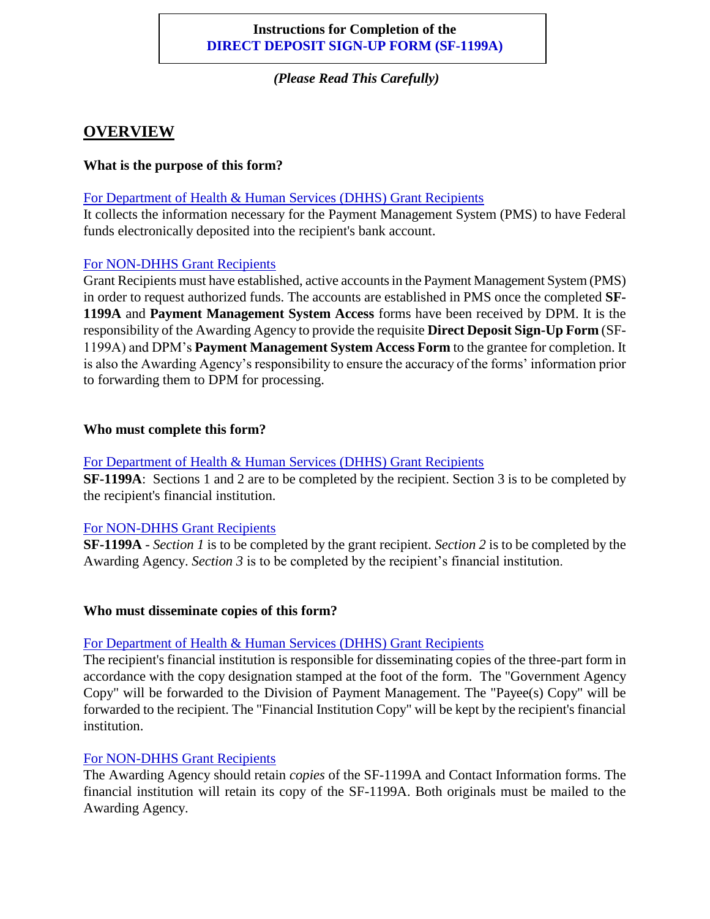## **Instructions for Completion of the DIRECT DEPOSIT SIGN-UP FORM (SF-1199A)**

*(Please Read This Carefully)*

# **OVERVIEW**

#### **What is the purpose of this form?**

For Department of Health & Human Services (DHHS) Grant Recipients

It collects the information necessary for the Payment Management System (PMS) to have Federal funds electronically deposited into the recipient's bank account.

#### For NON-DHHS Grant Recipients

Grant Recipients must have established, active accounts in the Payment Management System (PMS) in order to request authorized funds. The accounts are established in PMS once the completed **SF-1199A** and **Payment Management System Access** forms have been received by DPM. It is the responsibility of the Awarding Agency to provide the requisite **Direct Deposit Sign-Up Form** (SF-1199A) and DPM's **Payment Management System Access Form** to the grantee for completion. It is also the Awarding Agency's responsibility to ensure the accuracy of the forms' information prior to forwarding them to DPM for processing.

#### **Who must complete this form?**

#### For Department of Health & Human Services (DHHS) Grant Recipients

**SF-1199A**: Sections 1 and 2 are to be completed by the recipient. Section 3 is to be completed by the recipient's financial institution.

## For NON-DHHS Grant Recipients

**SF-1199A** - *Section 1* is to be completed by the grant recipient. *Section 2* is to be completed by the Awarding Agency. *Section 3* is to be completed by the recipient's financial institution.

#### **Who must disseminate copies of this form?**

## For Department of Health & Human Services (DHHS) Grant Recipients

The recipient's financial institution is responsible for disseminating copies of the three-part form in accordance with the copy designation stamped at the foot of the form. The "Government Agency Copy" will be forwarded to the Division of Payment Management. The "Payee(s) Copy" will be forwarded to the recipient. The "Financial Institution Copy" will be kept by the recipient's financial institution.

## For NON-DHHS Grant Recipients

The Awarding Agency should retain *copies* of the SF-1199A and Contact Information forms. The financial institution will retain its copy of the SF-1199A. Both originals must be mailed to the Awarding Agency.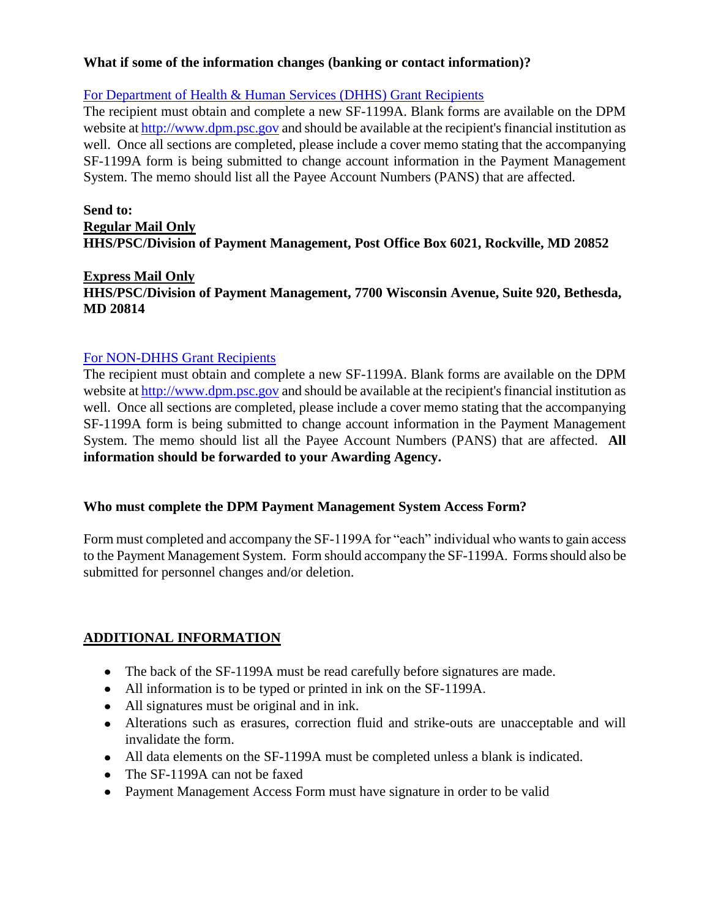#### **What if some of the information changes (banking or contact information)?**

#### For Department of Health & Human Services (DHHS) Grant Recipients

The recipient must obtain and complete a new SF-1199A. Blank forms are available on the DPM website at [http://www.dpm.psc.gov](http://www.dpm.psc.gov/) and should be available at the recipient's financial institution as well. Once all sections are completed, please include a cover memo stating that the accompanying SF-1199A form is being submitted to change account information in the Payment Management System. The memo should list all the Payee Account Numbers (PANS) that are affected.

#### **Send to: Regular Mail Only HHS/PSC/Division of Payment Management, Post Office Box 6021, Rockville, MD 20852**

#### **Express Mail Only**

#### **HHS/PSC/Division of Payment Management, 7700 Wisconsin Avenue, Suite 920, Bethesda, MD 20814**

#### For NON-DHHS Grant Recipients

The recipient must obtain and complete a new SF-1199A. Blank forms are available on the DPM website at [http://www.dpm.psc.gov](http://www.dpm.psc.gov/) and should be available at the recipient's financial institution as well. Once all sections are completed, please include a cover memo stating that the accompanying SF-1199A form is being submitted to change account information in the Payment Management System. The memo should list all the Payee Account Numbers (PANS) that are affected. **All information should be forwarded to your Awarding Agency.**

#### **Who must complete the DPM Payment Management System Access Form?**

Form must completed and accompany the SF-1199A for "each" individual who wants to gain access to the Payment Management System. Form should accompany the SF-1199A. Forms should also be submitted for personnel changes and/or deletion.

## **ADDITIONAL INFORMATION**

- The back of the SF-1199A must be read carefully before signatures are made.
- All information is to be typed or printed in ink on the SF-1199A.
- All signatures must be original and in ink.
- Alterations such as erasures, correction fluid and strike-outs are unacceptable and will invalidate the form.
- All data elements on the SF-1199A must be completed unless a blank is indicated.
- The SF-1199A can not be faxed
- Payment Management Access Form must have signature in order to be valid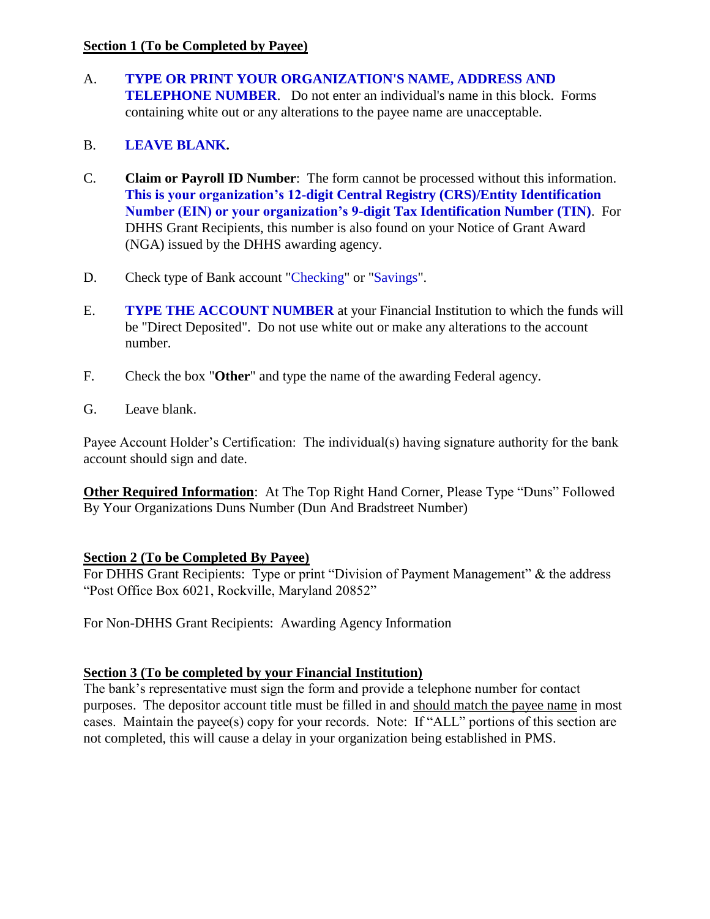#### **Section 1 (To be Completed by Payee)**

A. **TYPE OR PRINT YOUR ORGANIZATION'S NAME, ADDRESS AND TELEPHONE NUMBER**. Do not enter an individual's name in this block. Forms containing white out or any alterations to the payee name are unacceptable.

# B. **LEAVE BLANK.**

- C. **Claim or Payroll ID Number**: The form cannot be processed without this information. **This is your organization's 12-digit Central Registry (CRS)/Entity Identification Number (EIN) or your organization's 9-digit Tax Identification Number (TIN)**. For DHHS Grant Recipients, this number is also found on your Notice of Grant Award (NGA) issued by the DHHS awarding agency.
- D. Check type of Bank account "Checking" or "Savings".
- E. **TYPE THE ACCOUNT NUMBER** at your Financial Institution to which the funds will be "Direct Deposited". Do not use white out or make any alterations to the account number.
- F. Check the box "**Other**" and type the name of the awarding Federal agency.
- G. Leave blank.

Payee Account Holder's Certification: The individual(s) having signature authority for the bank account should sign and date.

**Other Required Information**: At The Top Right Hand Corner, Please Type "Duns" Followed By Your Organizations Duns Number (Dun And Bradstreet Number)

## **Section 2 (To be Completed By Payee)**

For DHHS Grant Recipients: Type or print "Division of Payment Management" & the address "Post Office Box 6021, Rockville, Maryland 20852"

For Non-DHHS Grant Recipients: Awarding Agency Information

# **Section 3 (To be completed by your Financial Institution)**

The bank's representative must sign the form and provide a telephone number for contact purposes. The depositor account title must be filled in and should match the payee name in most cases. Maintain the payee(s) copy for your records. Note: If "ALL" portions of this section are not completed, this will cause a delay in your organization being established in PMS.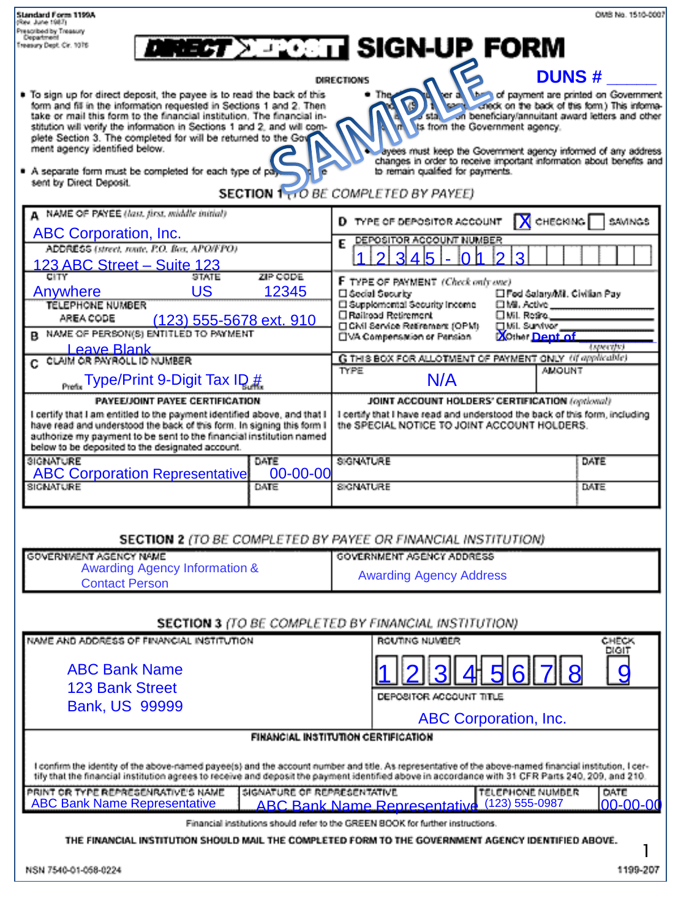| <b>Standard Form 1199A</b><br>(Rev. June 1987)                                                                                                                                                                                                                                                               |                                                                                                                                      | OMB No. 1510-0007 |  |  |  |  |  |
|--------------------------------------------------------------------------------------------------------------------------------------------------------------------------------------------------------------------------------------------------------------------------------------------------------------|--------------------------------------------------------------------------------------------------------------------------------------|-------------------|--|--|--|--|--|
| Prescribed by Treasury<br>Department<br><b>DINECT XERICITY SIGN-UP FORM</b><br>Treasury Dept. Cir. 1076                                                                                                                                                                                                      |                                                                                                                                      |                   |  |  |  |  |  |
| <b>DUNS#</b>                                                                                                                                                                                                                                                                                                 |                                                                                                                                      |                   |  |  |  |  |  |
| <b>DIRECTIONS</b><br>To sign up for direct deposit, the payee is to read the back of this<br>● The                                                                                                                                                                                                           |                                                                                                                                      |                   |  |  |  |  |  |
| er a change of payment are printed on Government<br>$\sqrt{2}$<br>form and fit in the information requested in Sections 1 and 2. Then<br>o stal on beneficiary/annuitant award letters and other<br>take or mail this form to the financial institution. The financial in-<br>ts from the Government agency. |                                                                                                                                      |                   |  |  |  |  |  |
| plete Section 3. The completed for will be returned to the Gov<br>ment agency identified below.                                                                                                                                                                                                              | stitution will verify the information in Sections 1 and 2, and will com-                                                             |                   |  |  |  |  |  |
| ayees must keep the Government agency informed of any address<br>changes in order to receive important information about benefits and<br>A separate form must be completed for each type of pays<br>to remain qualified for payments.                                                                        |                                                                                                                                      |                   |  |  |  |  |  |
| sent by Direct Deposit.<br><b>SECTION 1 10 BE COMPLETED BY PAYEE)</b>                                                                                                                                                                                                                                        |                                                                                                                                      |                   |  |  |  |  |  |
| A NAME OF PAYEE (last, first, middle initial)                                                                                                                                                                                                                                                                | $\mathsf N$ CHECKING<br>D TYPE OF DEPOSITOR ACCOUNT<br>SAVINGS                                                                       |                   |  |  |  |  |  |
| <b>ABC Corporation, Inc.</b>                                                                                                                                                                                                                                                                                 | DEPOSITOR ACCOUNT NUMBER<br>E                                                                                                        |                   |  |  |  |  |  |
| ADDRESS (street, route, P.O. Box, APO/FPO)<br>123 ABC Street - Suite 123                                                                                                                                                                                                                                     | 45                                                                                                                                   |                   |  |  |  |  |  |
| CITY<br><b>STATE</b><br>ZIP CODE                                                                                                                                                                                                                                                                             | F TYPE OF PAYMENT (Check only one)                                                                                                   |                   |  |  |  |  |  |
| US<br>12345<br>Anywhere<br>TELEPHONE NUMBER                                                                                                                                                                                                                                                                  | □ Secial Security<br>□ Fed Salary/Mil. Civilian Pay<br>□ Supplemental Security Income<br>口Mi. Active                                 |                   |  |  |  |  |  |
| AREA CODE<br>(123) 555-5678 ext. 910<br>B NAME OF PERSON(S) ENTITLED TO PAYMENT                                                                                                                                                                                                                              | □ Railroad Retirement<br>□ Mil. Restro.__<br>CMI Service Retirement (OPM)<br>□ Mil. Sunrivor                                         |                   |  |  |  |  |  |
| <b>Leave Blank</b>                                                                                                                                                                                                                                                                                           | <b>XOthar Dept of</b><br>UVA Compensation or Pension                                                                                 | (specific)        |  |  |  |  |  |
| C. CLAIM OR PAYROLL ID NUMBER                                                                                                                                                                                                                                                                                | G THIS BOX FOR ALLOTMENT OF PAYMENT ONLY (if applicable)<br><b>TYPE</b><br><b>AMOUNT</b>                                             |                   |  |  |  |  |  |
| <b>Type/Print 9-Digit Tax ID #</b>                                                                                                                                                                                                                                                                           | N/A                                                                                                                                  |                   |  |  |  |  |  |
| PAYEE/JOINT PAYEE CERTIFICATION<br>I certify that I am entitled to the payment identified above, and that I                                                                                                                                                                                                  | <b>JOINT ACCOUNT HOLDERS' CERTIFICATION (optional)</b><br>I certify that I have read and understood the back of this form, including |                   |  |  |  |  |  |
| authorize my payment to be sent to the financial institution named                                                                                                                                                                                                                                           | the SPECIAL NOTICE TO JOINT ACCOUNT HOLDERS.<br>have read and understood the back of this form. In signing this form I               |                   |  |  |  |  |  |
| below to be deposited to the designated account.<br><b>SIGNATURE</b><br>DATE                                                                                                                                                                                                                                 | <b>SIGNATURE</b>                                                                                                                     | DATE              |  |  |  |  |  |
| $00 - 00 - 00$<br><b>ABC Corporation Representative</b><br><b>SIGNATURE</b><br>DATE                                                                                                                                                                                                                          | <b>SIGNATURE</b>                                                                                                                     | DATE              |  |  |  |  |  |
|                                                                                                                                                                                                                                                                                                              |                                                                                                                                      |                   |  |  |  |  |  |
|                                                                                                                                                                                                                                                                                                              |                                                                                                                                      |                   |  |  |  |  |  |
| GOVERNMENT AGENCY NAME                                                                                                                                                                                                                                                                                       | <b>SECTION 2</b> (TO BE COMPLETED BY PAYEE OR FINANCIAL INSTITUTION)<br><b>GOVERNMENT AGENCY ADDRESS</b>                             |                   |  |  |  |  |  |
| <b>Awarding Agency Information &amp;</b>                                                                                                                                                                                                                                                                     | <b>Awarding Agency Address</b>                                                                                                       |                   |  |  |  |  |  |
| <b>Contact Person</b>                                                                                                                                                                                                                                                                                        |                                                                                                                                      |                   |  |  |  |  |  |
|                                                                                                                                                                                                                                                                                                              | <b>SECTION 3</b> (TO BE COMPLETED BY FINANCIAL INSTITUTION)                                                                          |                   |  |  |  |  |  |
| NAME AND ADDRESS OF FINANCIAL INSTITUTION                                                                                                                                                                                                                                                                    | ROUTING NUMBER                                                                                                                       | CHECK<br>DIGIT    |  |  |  |  |  |
| <b>ABC Bank Name</b>                                                                                                                                                                                                                                                                                         |                                                                                                                                      | Q                 |  |  |  |  |  |
| <b>123 Bank Street</b>                                                                                                                                                                                                                                                                                       | DEPOSITOR ACCOUNT TITLE                                                                                                              |                   |  |  |  |  |  |
| <b>Bank, US 99999</b>                                                                                                                                                                                                                                                                                        |                                                                                                                                      |                   |  |  |  |  |  |
|                                                                                                                                                                                                                                                                                                              | <b>ABC Corporation, Inc.</b><br><b>FINANCIAL INSTITUTION CERTIFICATION</b>                                                           |                   |  |  |  |  |  |
|                                                                                                                                                                                                                                                                                                              |                                                                                                                                      |                   |  |  |  |  |  |
| I confirm the identity of the above-named payee(s) and the account number and title. As representative of the above-named financial institution, I cer-<br>tify that the financial institution agrees to receive and deposit the payment identified above in accordance with 31 CFR Parts 240, 209, and 210. |                                                                                                                                      |                   |  |  |  |  |  |
| PRINT OR TYPE REPRESENRATIVE'S NAME<br>SIGNATURE OF REPRESENTATIVE<br><b>TELEPHONE NUMBER</b><br>DATE<br><b>ABC Bank Name Representative</b><br>ABC Bank Name Representative (123) 555-0987<br>00-00-00                                                                                                      |                                                                                                                                      |                   |  |  |  |  |  |
| Financial institutions should refer to the GREEN BOOK for further instructions.                                                                                                                                                                                                                              |                                                                                                                                      |                   |  |  |  |  |  |
| THE FINANCIAL INSTITUTION SHOULD MAIL THE COMPLETED FORM TO THE GOVERNMENT AGENCY IDENTIFIED ABOVE.                                                                                                                                                                                                          |                                                                                                                                      |                   |  |  |  |  |  |
| NSN 7540-01-058-0224                                                                                                                                                                                                                                                                                         |                                                                                                                                      | 1199-207          |  |  |  |  |  |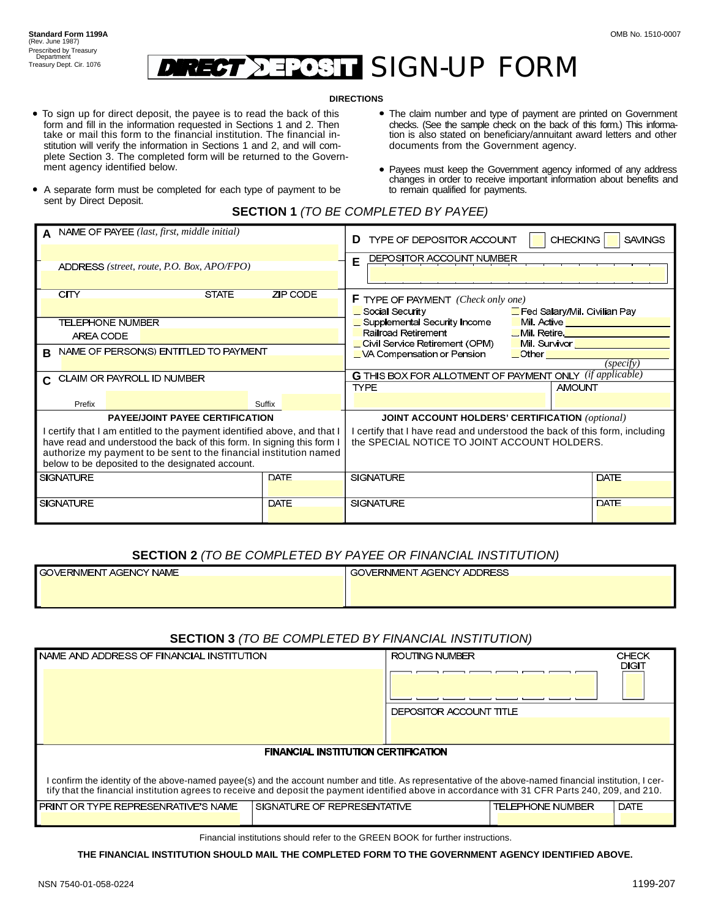#### **SIGN-UP FORM**  $\tau' =$

#### **DIRECTIONS**

- To sign up for direct deposit, the payee is to read the back of this form and fill in the information requested in Sections 1 and 2. Then take or mail this form to the financial institution. The financial institution will verify the information in Sections 1 and 2, and will complete Section 3. The completed form will be returned to the Government agency identified below.
- documents from the Government agency. tion is also stated on beneficiary/annuitant award letters and other The claim number and type of payment are printed on Government checks. (See the sample check on the back of this form.) This informa-
- changes in order to receive important information about benefits and to remain qualified for payments. Payees must keep the Government agency informed of any address
- A separate form must be completed for each type of payment to be sent by Direct Deposit.

|                                                                        | NAME OF PAYEE (last, first, middle initial) |                                                                        | <b>CHECKING</b><br><b>SAVINGS</b><br>TYPE OF DEPOSITOR ACCOUNT<br>D                                            |                                                         |             |
|------------------------------------------------------------------------|---------------------------------------------|------------------------------------------------------------------------|----------------------------------------------------------------------------------------------------------------|---------------------------------------------------------|-------------|
|                                                                        |                                             |                                                                        | DEPOSITOR ACCOUNT NUMBER<br>E                                                                                  |                                                         |             |
|                                                                        | ADDRESS (street, route, P.O. Box, APO/FPO)  |                                                                        |                                                                                                                |                                                         |             |
|                                                                        |                                             |                                                                        |                                                                                                                |                                                         |             |
|                                                                        | <b>CITY</b><br><b>STATE</b>                 | ZIP CODE                                                               | <b>F</b> TYPE OF PAYMENT (Check only one)                                                                      |                                                         |             |
|                                                                        |                                             |                                                                        | Social Security<br>Fed Salary/Mil. Civilian Pay                                                                |                                                         |             |
|                                                                        | <b>TELEPHONE NUMBER</b>                     |                                                                        | Supplemental Security Income                                                                                   | Mil. Active <u>______________</u>                       |             |
|                                                                        | AREA CODE                                   |                                                                        | Railroad Retirement Communication Communication Communication Communication Communication Communication Commun |                                                         |             |
|                                                                        |                                             |                                                                        | Civil Service Retirement (OPM) Mil. Survivor Civil Service Retirement (OPM)                                    |                                                         |             |
| R.                                                                     | NAME OF PERSON(S) ENTITLED TO PAYMENT       |                                                                        | $\Box$ VA Compensation or Pension                                                                              | $\overline{\phantom{a}}$ Other $\overline{\phantom{a}}$ |             |
|                                                                        |                                             |                                                                        |                                                                                                                |                                                         | (specify)   |
| CLAIM OR PAYROLL ID NUMBER<br>C.                                       |                                             | <b>G</b> THIS BOX FOR ALLOTMENT OF PAYMENT ONLY <i>(if applicable)</i> |                                                                                                                |                                                         |             |
|                                                                        |                                             |                                                                        | <b>TYPE</b>                                                                                                    | <b>AMOUNT</b>                                           |             |
|                                                                        | Prefix                                      | Suffix                                                                 |                                                                                                                |                                                         |             |
| <b>PAYEE/JOINT PAYEE CERTIFICATION</b>                                 |                                             | <b>JOINT ACCOUNT HOLDERS' CERTIFICATION (optional)</b>                 |                                                                                                                |                                                         |             |
| certify that I am entitled to the payment identified above, and that I |                                             |                                                                        | certify that I have read and understood the back of this form, including                                       |                                                         |             |
| have read and understood the back of this form. In signing this form I |                                             |                                                                        | the SPECIAL NOTICE TO JOINT ACCOUNT HOLDERS.                                                                   |                                                         |             |
| authorize my payment to be sent to the financial institution named     |                                             |                                                                        |                                                                                                                |                                                         |             |
| below to be deposited to the designated account.                       |                                             |                                                                        |                                                                                                                |                                                         |             |
|                                                                        | <b>SIGNATURE</b>                            | <b>DATE</b>                                                            | <b>SIGNATURE</b>                                                                                               |                                                         | <b>DATE</b> |
|                                                                        |                                             |                                                                        |                                                                                                                |                                                         |             |
| <b>DATE</b><br><b>SIGNATURE</b>                                        |                                             | <b>SIGNATURE</b>                                                       |                                                                                                                | DATE                                                    |             |
|                                                                        |                                             |                                                                        |                                                                                                                |                                                         |             |

#### **SECTION 2** *(TO BE COMPLETED BY PAYEE OR FINANCIAL INSTITUTION)*

| <b>I</b> GOVERNMENT AGENCY NAME | GOVERNMENT AGENCY ADDRESS |
|---------------------------------|---------------------------|
|                                 |                           |
|                                 |                           |

#### **SECTION 3** *(TO BE COMPLETED BY FINANCIAL INSTITUTION)*

| ROUTING NUMBER                                                                                                                                                                                                                                                                                               | CHECK<br>DIGIT |  |  |  |  |  |  |
|--------------------------------------------------------------------------------------------------------------------------------------------------------------------------------------------------------------------------------------------------------------------------------------------------------------|----------------|--|--|--|--|--|--|
|                                                                                                                                                                                                                                                                                                              |                |  |  |  |  |  |  |
| DEPOSITOR ACCOUNT TITLE                                                                                                                                                                                                                                                                                      |                |  |  |  |  |  |  |
|                                                                                                                                                                                                                                                                                                              |                |  |  |  |  |  |  |
| FINANCIAL INSTITUTION CERTIFICATION                                                                                                                                                                                                                                                                          |                |  |  |  |  |  |  |
| I confirm the identity of the above-named payee(s) and the account number and title. As representative of the above-named financial institution, I cer-<br>tify that the financial institution agrees to receive and deposit the payment identified above in accordance with 31 CFR Parts 240, 209, and 210. |                |  |  |  |  |  |  |
| SIGNATURE OF REPRESENTATIVE<br><b>TELEPHONE NUMBER</b>                                                                                                                                                                                                                                                       | <b>DATE</b>    |  |  |  |  |  |  |
|                                                                                                                                                                                                                                                                                                              |                |  |  |  |  |  |  |
|                                                                                                                                                                                                                                                                                                              |                |  |  |  |  |  |  |

Financial institutions should refer to the GREEN BOOK for further instructions.

**THE FINANCIAL INSTITUTION SHOULD MAIL THE COMPLETED FORM TO THE GOVERNMENT AGENCY IDENTIFIED ABOVE.**